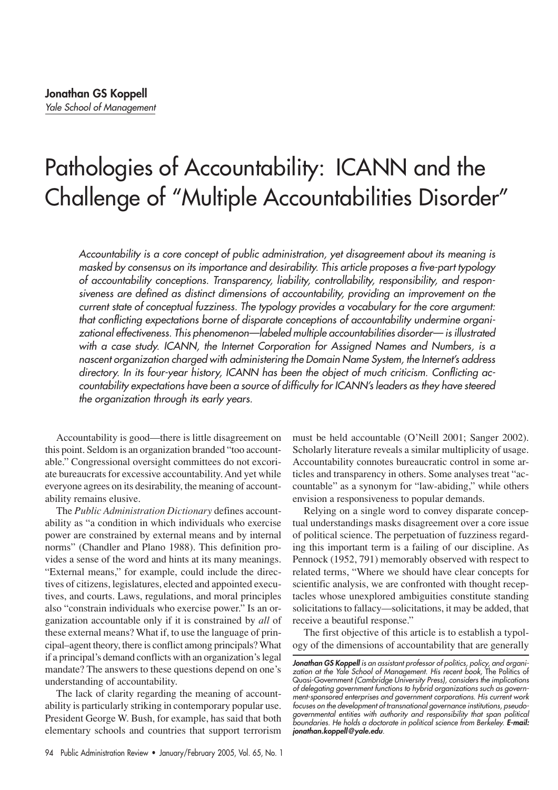# Pathologies of Accountability: ICANN and the Challenge of "Multiple Accountabilities Disorder"

Accountability is a core concept of public administration, yet disagreement about its meaning is masked by consensus on its importance and desirability. This article proposes a five-part typology of accountability conceptions. Transparency, liability, controllability, responsibility, and responsiveness are defined as distinct dimensions of accountability, providing an improvement on the current state of conceptual fuzziness. The typology provides a vocabulary for the core argument: that conflicting expectations borne of disparate conceptions of accountability undermine organizational effectiveness. This phenomenon—labeled multiple accountabilities disorder— is illustrated with a case study. ICANN, the Internet Corporation for Assigned Names and Numbers, is a nascent organization charged with administering the Domain Name System, the Internet's address directory. In its four-year history, ICANN has been the object of much criticism. Conflicting accountability expectations have been a source of difficulty for ICANN's leaders as they have steered the organization through its early years.

Accountability is good—there is little disagreement on this point. Seldom is an organization branded "too accountable." Congressional oversight committees do not excoriate bureaucrats for excessive accountability. And yet while everyone agrees on its desirability, the meaning of accountability remains elusive.

The *Public Administration Dictionary* defines accountability as "a condition in which individuals who exercise power are constrained by external means and by internal norms" (Chandler and Plano 1988). This definition provides a sense of the word and hints at its many meanings. "External means," for example, could include the directives of citizens, legislatures, elected and appointed executives, and courts. Laws, regulations, and moral principles also "constrain individuals who exercise power." Is an organization accountable only if it is constrained by *all* of these external means? What if, to use the language of principal–agent theory, there is conflict among principals? What if a principal's demand conflicts with an organization's legal mandate? The answers to these questions depend on one's understanding of accountability.

The lack of clarity regarding the meaning of accountability is particularly striking in contemporary popular use. President George W. Bush, for example, has said that both elementary schools and countries that support terrorism must be held accountable (O'Neill 2001; Sanger 2002). Scholarly literature reveals a similar multiplicity of usage. Accountability connotes bureaucratic control in some articles and transparency in others. Some analyses treat "accountable" as a synonym for "law-abiding," while others envision a responsiveness to popular demands.

Relying on a single word to convey disparate conceptual understandings masks disagreement over a core issue of political science. The perpetuation of fuzziness regarding this important term is a failing of our discipline. As Pennock (1952, 791) memorably observed with respect to related terms, "Where we should have clear concepts for scientific analysis, we are confronted with thought receptacles whose unexplored ambiguities constitute standing solicitations to fallacy—solicitations, it may be added, that receive a beautiful response."

The first objective of this article is to establish a typology of the dimensions of accountability that are generally

**Jonathan GS Koppell** is an assistant professor of politics, policy, and organization at the Yale School of Management. His recent book, The Politics of Quasi-Government (Cambridge University Press), considers the implications of delegating government functions to hybrid organizations such as government-sponsored enterprises and government corporations. His current work focuses on the development of transnational governance institutions, pseudogovernmental entities with authority and responsibility that span political boundaries. He holds a doctorate in political science from Berkeley. **E-mail: jonathan.koppell@yale.edu**.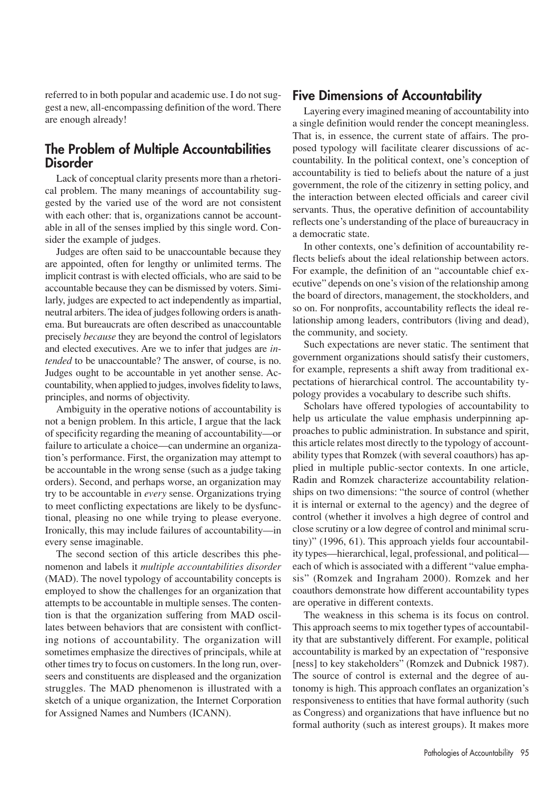referred to in both popular and academic use. I do not suggest a new, all-encompassing definition of the word. There are enough already!

## **The Problem of Multiple Accountabilities Disorder**

Lack of conceptual clarity presents more than a rhetorical problem. The many meanings of accountability suggested by the varied use of the word are not consistent with each other: that is, organizations cannot be accountable in all of the senses implied by this single word. Consider the example of judges.

Judges are often said to be unaccountable because they are appointed, often for lengthy or unlimited terms. The implicit contrast is with elected officials, who are said to be accountable because they can be dismissed by voters. Similarly, judges are expected to act independently as impartial, neutral arbiters. The idea of judges following orders is anathema. But bureaucrats are often described as unaccountable precisely *because* they are beyond the control of legislators and elected executives. Are we to infer that judges are *intended* to be unaccountable? The answer, of course, is no. Judges ought to be accountable in yet another sense. Accountability, when applied to judges, involves fidelity to laws, principles, and norms of objectivity.

Ambiguity in the operative notions of accountability is not a benign problem. In this article, I argue that the lack of specificity regarding the meaning of accountability—or failure to articulate a choice—can undermine an organization's performance. First, the organization may attempt to be accountable in the wrong sense (such as a judge taking orders). Second, and perhaps worse, an organization may try to be accountable in *every* sense. Organizations trying to meet conflicting expectations are likely to be dysfunctional, pleasing no one while trying to please everyone. Ironically, this may include failures of accountability—in every sense imaginable.

The second section of this article describes this phenomenon and labels it *multiple accountabilities disorder* (MAD). The novel typology of accountability concepts is employed to show the challenges for an organization that attempts to be accountable in multiple senses. The contention is that the organization suffering from MAD oscillates between behaviors that are consistent with conflicting notions of accountability. The organization will sometimes emphasize the directives of principals, while at other times try to focus on customers. In the long run, overseers and constituents are displeased and the organization struggles. The MAD phenomenon is illustrated with a sketch of a unique organization, the Internet Corporation for Assigned Names and Numbers (ICANN).

# **Five Dimensions of Accountability**

Layering every imagined meaning of accountability into a single definition would render the concept meaningless. That is, in essence, the current state of affairs. The proposed typology will facilitate clearer discussions of accountability. In the political context, one's conception of accountability is tied to beliefs about the nature of a just government, the role of the citizenry in setting policy, and the interaction between elected officials and career civil servants. Thus, the operative definition of accountability reflects one's understanding of the place of bureaucracy in a democratic state.

In other contexts, one's definition of accountability reflects beliefs about the ideal relationship between actors. For example, the definition of an "accountable chief executive" depends on one's vision of the relationship among the board of directors, management, the stockholders, and so on. For nonprofits, accountability reflects the ideal relationship among leaders, contributors (living and dead), the community, and society.

Such expectations are never static. The sentiment that government organizations should satisfy their customers, for example, represents a shift away from traditional expectations of hierarchical control. The accountability typology provides a vocabulary to describe such shifts.

Scholars have offered typologies of accountability to help us articulate the value emphasis underpinning approaches to public administration. In substance and spirit, this article relates most directly to the typology of accountability types that Romzek (with several coauthors) has applied in multiple public-sector contexts. In one article, Radin and Romzek characterize accountability relationships on two dimensions: "the source of control (whether it is internal or external to the agency) and the degree of control (whether it involves a high degree of control and close scrutiny or a low degree of control and minimal scrutiny)" (1996, 61). This approach yields four accountability types—hierarchical, legal, professional, and political each of which is associated with a different "value emphasis" (Romzek and Ingraham 2000). Romzek and her coauthors demonstrate how different accountability types are operative in different contexts.

The weakness in this schema is its focus on control. This approach seems to mix together types of accountability that are substantively different. For example, political accountability is marked by an expectation of "responsive [ness] to key stakeholders" (Romzek and Dubnick 1987). The source of control is external and the degree of autonomy is high. This approach conflates an organization's responsiveness to entities that have formal authority (such as Congress) and organizations that have influence but no formal authority (such as interest groups). It makes more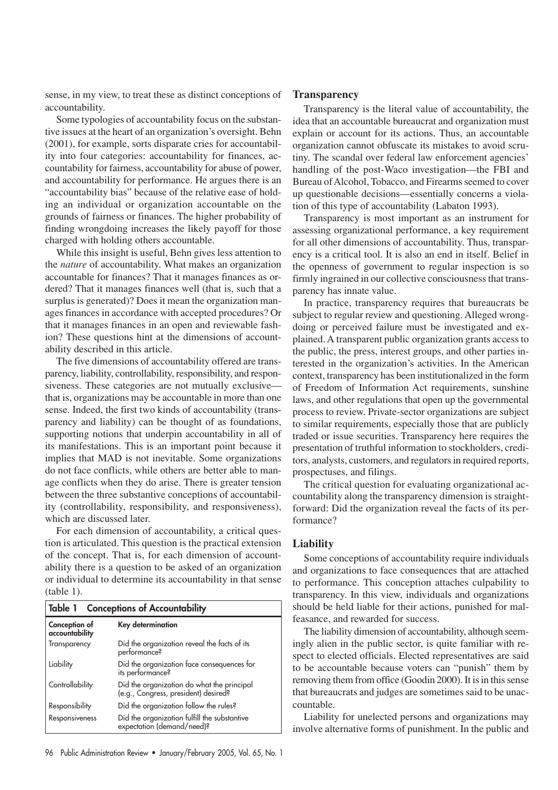sense, in my view, to treat these as distinct conceptions of accountability.

Some typologies of accountability focus on the substantive issues at the heart of an organization's oversight. Behn (2001), for example, sorts disparate cries for accountability into four categories: accountability for finances, accountability for fairness, accountability for abuse of power, and accountability for performance. He argues there is an "accountability bias" because of the relative ease of holding an individual or organization accountable on the grounds of fairness or finances. The higher probability of finding wrongdoing increases the likely payoff for those charged with holding others accountable.

While this insight is useful, Behn gives less attention to the *nature* of accountability. What makes an organization accountable for finances? That it manages finances as ordered? That it manages finances well (that is, such that a surplus is generated)? Does it mean the organization manages finances in accordance with accepted procedures? Or that it manages finances in an open and reviewable fashion? These questions hint at the dimensions of accountability described in this article.

The five dimensions of accountability offered are transparency, liability, controllability, responsibility, and responsiveness. These categories are not mutually exclusive that is, organizations may be accountable in more than one sense. Indeed, the first two kinds of accountability (transparency and liability) can be thought of as foundations, supporting notions that underpin accountability in all of its manifestations. This is an important point because it implies that MAD is not inevitable. Some organizations do not face conflicts, while others are better able to manage conflicts when they do arise. There is greater tension between the three substantive conceptions of accountability (controllability, responsibility, and responsiveness), which are discussed later.

For each dimension of accountability, a critical question is articulated. This question is the practical extension of the concept. That is, for each dimension of accountability there is a question to be asked of an organization or individual to determine its accountability in that sense (table 1).

| <b>Table 1</b> Conceptions of Accountability |                                                                                    |
|----------------------------------------------|------------------------------------------------------------------------------------|
| Conception of<br>accountability              | Key determination                                                                  |
| Transparency                                 | Did the organization reveal the facts of its<br>performance?                       |
| Liability                                    | Did the organization face consequences for<br>its performance?                     |
| Controllability                              | Did the organization do what the principal<br>(e.g., Congress, president) desired? |
| Responsibility                               | Did the organization follow the rules?                                             |
| Responsiveness                               | Did the organization fulfill the substantive<br>expectation (demand/need)?         |

#### **Transparency**

Transparency is the literal value of accountability, the idea that an accountable bureaucrat and organization must explain or account for its actions. Thus, an accountable organization cannot obfuscate its mistakes to avoid scrutiny. The scandal over federal law enforcement agencies' handling of the post-Waco investigation—the FBI and Bureau of Alcohol, Tobacco, and Firearms seemed to cover up questionable decisions—essentially concerns a violation of this type of accountability (Labaton 1993).

Transparency is most important as an instrument for assessing organizational performance, a key requirement for all other dimensions of accountability. Thus, transparency is a critical tool. It is also an end in itself. Belief in the openness of government to regular inspection is so firmly ingrained in our collective consciousness that transparency has innate value.

In practice, transparency requires that bureaucrats be subject to regular review and questioning. Alleged wrongdoing or perceived failure must be investigated and explained. A transparent public organization grants access to the public, the press, interest groups, and other parties interested in the organization's activities. In the American context, transparency has been institutionalized in the form of Freedom of Information Act requirements, sunshine laws, and other regulations that open up the governmental process to review. Private-sector organizations are subject to similar requirements, especially those that are publicly traded or issue securities. Transparency here requires the presentation of truthful information to stockholders, creditors, analysts, customers, and regulators in required reports, prospectuses, and filings.

The critical question for evaluating organizational accountability along the transparency dimension is straightforward: Did the organization reveal the facts of its performance?

#### **Liability**

Some conceptions of accountability require individuals and organizations to face consequences that are attached to performance. This conception attaches culpability to transparency. In this view, individuals and organizations should be held liable for their actions, punished for malfeasance, and rewarded for success.

The liability dimension of accountability, although seemingly alien in the public sector, is quite familiar with respect to elected officials. Elected representatives are said to be accountable because voters can "punish" them by removing them from office (Goodin 2000). It is in this sense that bureaucrats and judges are sometimes said to be unaccountable.

Liability for unelected persons and organizations may involve alternative forms of punishment. In the public and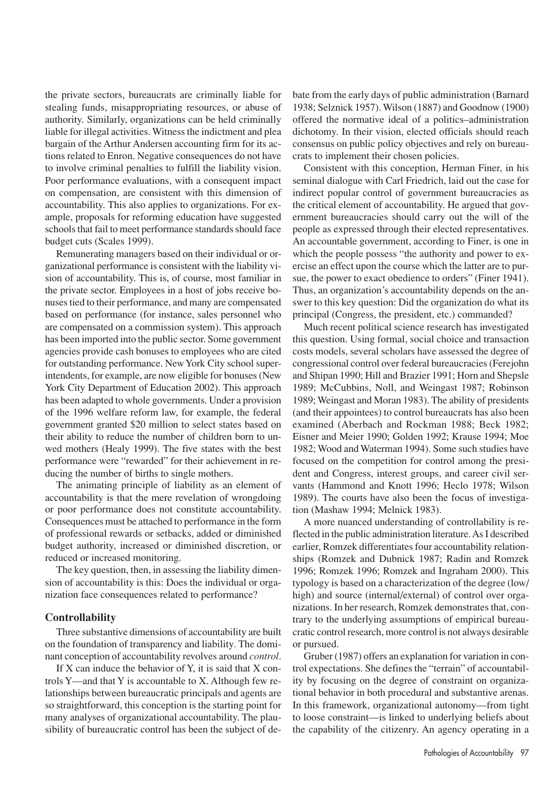the private sectors, bureaucrats are criminally liable for stealing funds, misappropriating resources, or abuse of authority. Similarly, organizations can be held criminally liable for illegal activities. Witness the indictment and plea bargain of the Arthur Andersen accounting firm for its actions related to Enron. Negative consequences do not have to involve criminal penalties to fulfill the liability vision. Poor performance evaluations, with a consequent impact on compensation, are consistent with this dimension of accountability. This also applies to organizations. For example, proposals for reforming education have suggested schools that fail to meet performance standards should face budget cuts (Scales 1999).

Remunerating managers based on their individual or organizational performance is consistent with the liability vision of accountability. This is, of course, most familiar in the private sector. Employees in a host of jobs receive bonuses tied to their performance, and many are compensated based on performance (for instance, sales personnel who are compensated on a commission system). This approach has been imported into the public sector. Some government agencies provide cash bonuses to employees who are cited for outstanding performance. New York City school superintendents, for example, are now eligible for bonuses (New York City Department of Education 2002). This approach has been adapted to whole governments. Under a provision of the 1996 welfare reform law, for example, the federal government granted \$20 million to select states based on their ability to reduce the number of children born to unwed mothers (Healy 1999). The five states with the best performance were "rewarded" for their achievement in reducing the number of births to single mothers.

The animating principle of liability as an element of accountability is that the mere revelation of wrongdoing or poor performance does not constitute accountability. Consequences must be attached to performance in the form of professional rewards or setbacks, added or diminished budget authority, increased or diminished discretion, or reduced or increased monitoring.

The key question, then, in assessing the liability dimension of accountability is this: Does the individual or organization face consequences related to performance?

#### **Controllability**

Three substantive dimensions of accountability are built on the foundation of transparency and liability*.* The dominant conception of accountability revolves around *control*.

If  $X$  can induce the behavior of  $Y$ , it is said that  $X$  controls Y—and that Y is accountable to X. Although few relationships between bureaucratic principals and agents are so straightforward, this conception is the starting point for many analyses of organizational accountability. The plausibility of bureaucratic control has been the subject of debate from the early days of public administration (Barnard 1938; Selznick 1957). Wilson (1887) and Goodnow (1900) offered the normative ideal of a politics–administration dichotomy. In their vision, elected officials should reach consensus on public policy objectives and rely on bureaucrats to implement their chosen policies.

Consistent with this conception, Herman Finer, in his seminal dialogue with Carl Friedrich, laid out the case for indirect popular control of government bureaucracies as the critical element of accountability. He argued that government bureaucracies should carry out the will of the people as expressed through their elected representatives. An accountable government, according to Finer, is one in which the people possess "the authority and power to exercise an effect upon the course which the latter are to pursue, the power to exact obedience to orders" (Finer 1941). Thus, an organization's accountability depends on the answer to this key question: Did the organization do what its principal (Congress, the president, etc.) commanded?

Much recent political science research has investigated this question. Using formal, social choice and transaction costs models, several scholars have assessed the degree of congressional control over federal bureaucracies (Ferejohn and Shipan 1990; Hill and Brazier 1991; Horn and Shepsle 1989; McCubbins, Noll, and Weingast 1987; Robinson 1989; Weingast and Moran 1983). The ability of presidents (and their appointees) to control bureaucrats has also been examined (Aberbach and Rockman 1988; Beck 1982; Eisner and Meier 1990; Golden 1992; Krause 1994; Moe 1982; Wood and Waterman 1994). Some such studies have focused on the competition for control among the president and Congress, interest groups, and career civil servants (Hammond and Knott 1996; Heclo 1978; Wilson 1989). The courts have also been the focus of investigation (Mashaw 1994; Melnick 1983).

A more nuanced understanding of controllability is reflected in the public administration literature. As I described earlier, Romzek differentiates four accountability relationships (Romzek and Dubnick 1987; Radin and Romzek 1996; Romzek 1996; Romzek and Ingraham 2000). This typology is based on a characterization of the degree (low/ high) and source (internal/external) of control over organizations. In her research, Romzek demonstrates that, contrary to the underlying assumptions of empirical bureaucratic control research, more control is not always desirable or pursued.

Gruber (1987) offers an explanation for variation in control expectations. She defines the "terrain" of accountability by focusing on the degree of constraint on organizational behavior in both procedural and substantive arenas. In this framework, organizational autonomy—from tight to loose constraint—is linked to underlying beliefs about the capability of the citizenry. An agency operating in a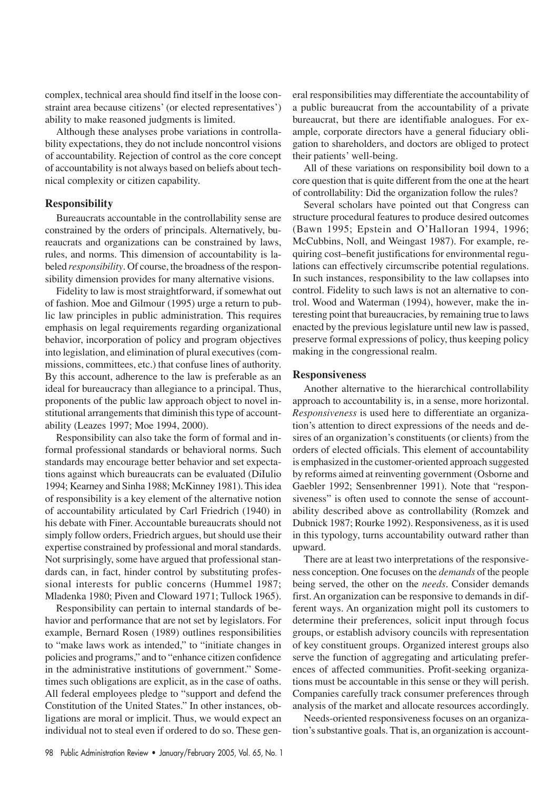complex, technical area should find itself in the loose constraint area because citizens' (or elected representatives') ability to make reasoned judgments is limited.

Although these analyses probe variations in controllability expectations, they do not include noncontrol visions of accountability. Rejection of control as the core concept of accountability is not always based on beliefs about technical complexity or citizen capability.

#### **Responsibility**

Bureaucrats accountable in the controllability sense are constrained by the orders of principals. Alternatively, bureaucrats and organizations can be constrained by laws, rules, and norms. This dimension of accountability is labeled *responsibility*. Of course, the broadness of the responsibility dimension provides for many alternative visions.

Fidelity to law is most straightforward, if somewhat out of fashion. Moe and Gilmour (1995) urge a return to public law principles in public administration. This requires emphasis on legal requirements regarding organizational behavior, incorporation of policy and program objectives into legislation, and elimination of plural executives (commissions, committees, etc.) that confuse lines of authority. By this account, adherence to the law is preferable as an ideal for bureaucracy than allegiance to a principal. Thus, proponents of the public law approach object to novel institutional arrangements that diminish this type of accountability (Leazes 1997; Moe 1994, 2000).

Responsibility can also take the form of formal and informal professional standards or behavioral norms. Such standards may encourage better behavior and set expectations against which bureaucrats can be evaluated (DiIulio 1994; Kearney and Sinha 1988; McKinney 1981). This idea of responsibility is a key element of the alternative notion of accountability articulated by Carl Friedrich (1940) in his debate with Finer. Accountable bureaucrats should not simply follow orders, Friedrich argues, but should use their expertise constrained by professional and moral standards. Not surprisingly, some have argued that professional standards can, in fact, hinder control by substituting professional interests for public concerns (Hummel 1987; Mladenka 1980; Piven and Cloward 1971; Tullock 1965).

Responsibility can pertain to internal standards of behavior and performance that are not set by legislators. For example, Bernard Rosen (1989) outlines responsibilities to "make laws work as intended," to "initiate changes in policies and programs," and to "enhance citizen confidence in the administrative institutions of government." Sometimes such obligations are explicit, as in the case of oaths. All federal employees pledge to "support and defend the Constitution of the United States." In other instances, obligations are moral or implicit. Thus, we would expect an individual not to steal even if ordered to do so. These general responsibilities may differentiate the accountability of a public bureaucrat from the accountability of a private bureaucrat, but there are identifiable analogues. For example, corporate directors have a general fiduciary obligation to shareholders, and doctors are obliged to protect their patients' well-being.

All of these variations on responsibility boil down to a core question that is quite different from the one at the heart of controllability: Did the organization follow the rules?

Several scholars have pointed out that Congress can structure procedural features to produce desired outcomes (Bawn 1995; Epstein and O'Halloran 1994, 1996; McCubbins, Noll, and Weingast 1987). For example, requiring cost–benefit justifications for environmental regulations can effectively circumscribe potential regulations. In such instances, responsibility to the law collapses into control. Fidelity to such laws is not an alternative to control. Wood and Waterman (1994), however, make the interesting point that bureaucracies, by remaining true to laws enacted by the previous legislature until new law is passed, preserve formal expressions of policy, thus keeping policy making in the congressional realm.

#### **Responsiveness**

Another alternative to the hierarchical controllability approach to accountability is, in a sense, more horizontal. *Responsiveness* is used here to differentiate an organization's attention to direct expressions of the needs and desires of an organization's constituents (or clients) from the orders of elected officials. This element of accountability is emphasized in the customer-oriented approach suggested by reforms aimed at reinventing government (Osborne and Gaebler 1992; Sensenbrenner 1991). Note that "responsiveness" is often used to connote the sense of accountability described above as controllability (Romzek and Dubnick 1987; Rourke 1992). Responsiveness, as it is used in this typology, turns accountability outward rather than upward.

There are at least two interpretations of the responsiveness conception. One focuses on the *demands* of the people being served, the other on the *needs*. Consider demands first. An organization can be responsive to demands in different ways. An organization might poll its customers to determine their preferences, solicit input through focus groups, or establish advisory councils with representation of key constituent groups. Organized interest groups also serve the function of aggregating and articulating preferences of affected communities. Profit-seeking organizations must be accountable in this sense or they will perish. Companies carefully track consumer preferences through analysis of the market and allocate resources accordingly.

Needs-oriented responsiveness focuses on an organization's substantive goals. That is, an organization is account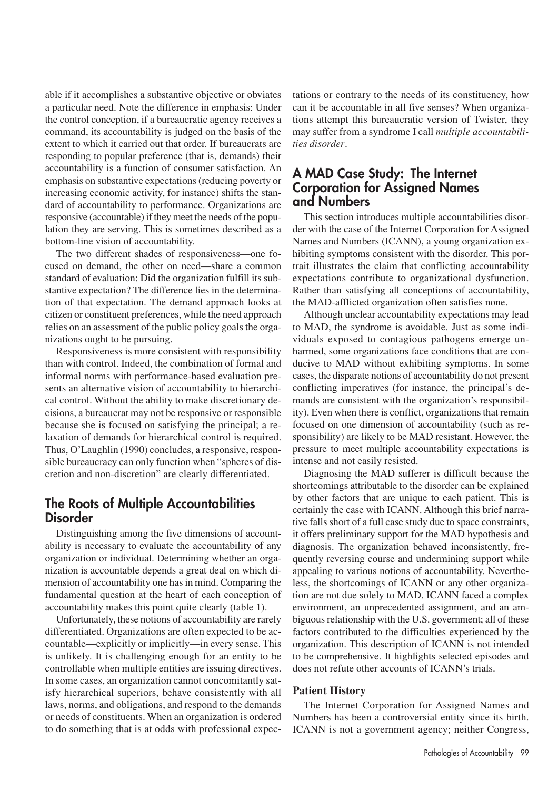able if it accomplishes a substantive objective or obviates a particular need. Note the difference in emphasis: Under the control conception, if a bureaucratic agency receives a command, its accountability is judged on the basis of the extent to which it carried out that order. If bureaucrats are responding to popular preference (that is, demands) their accountability is a function of consumer satisfaction. An emphasis on substantive expectations (reducing poverty or increasing economic activity, for instance) shifts the standard of accountability to performance. Organizations are responsive (accountable) if they meet the needs of the population they are serving. This is sometimes described as a bottom-line vision of accountability.

The two different shades of responsiveness—one focused on demand, the other on need—share a common standard of evaluation: Did the organization fulfill its substantive expectation? The difference lies in the determination of that expectation. The demand approach looks at citizen or constituent preferences, while the need approach relies on an assessment of the public policy goals the organizations ought to be pursuing.

Responsiveness is more consistent with responsibility than with control. Indeed, the combination of formal and informal norms with performance-based evaluation presents an alternative vision of accountability to hierarchical control. Without the ability to make discretionary decisions, a bureaucrat may not be responsive or responsible because she is focused on satisfying the principal; a relaxation of demands for hierarchical control is required. Thus, O'Laughlin (1990) concludes, a responsive, responsible bureaucracy can only function when "spheres of discretion and non-discretion" are clearly differentiated.

## **The Roots of Multiple Accountabilities Disorder**

Distinguishing among the five dimensions of accountability is necessary to evaluate the accountability of any organization or individual. Determining whether an organization is accountable depends a great deal on which dimension of accountability one has in mind. Comparing the fundamental question at the heart of each conception of accountability makes this point quite clearly (table 1).

Unfortunately, these notions of accountability are rarely differentiated. Organizations are often expected to be accountable—explicitly or implicitly—in every sense. This is unlikely. It is challenging enough for an entity to be controllable when multiple entities are issuing directives. In some cases, an organization cannot concomitantly satisfy hierarchical superiors, behave consistently with all laws, norms, and obligations, and respond to the demands or needs of constituents. When an organization is ordered to do something that is at odds with professional expectations or contrary to the needs of its constituency, how can it be accountable in all five senses? When organizations attempt this bureaucratic version of Twister, they may suffer from a syndrome I call *multiple accountabilities disorder*.

## **A MAD Case Study: The Internet Corporation for Assigned Names and Numbers**

This section introduces multiple accountabilities disorder with the case of the Internet Corporation for Assigned Names and Numbers (ICANN), a young organization exhibiting symptoms consistent with the disorder. This portrait illustrates the claim that conflicting accountability expectations contribute to organizational dysfunction. Rather than satisfying all conceptions of accountability, the MAD-afflicted organization often satisfies none.

Although unclear accountability expectations may lead to MAD, the syndrome is avoidable. Just as some individuals exposed to contagious pathogens emerge unharmed, some organizations face conditions that are conducive to MAD without exhibiting symptoms. In some cases, the disparate notions of accountability do not present conflicting imperatives (for instance, the principal's demands are consistent with the organization's responsibility). Even when there is conflict, organizations that remain focused on one dimension of accountability (such as responsibility) are likely to be MAD resistant. However, the pressure to meet multiple accountability expectations is intense and not easily resisted.

Diagnosing the MAD sufferer is difficult because the shortcomings attributable to the disorder can be explained by other factors that are unique to each patient. This is certainly the case with ICANN. Although this brief narrative falls short of a full case study due to space constraints, it offers preliminary support for the MAD hypothesis and diagnosis. The organization behaved inconsistently, frequently reversing course and undermining support while appealing to various notions of accountability. Nevertheless, the shortcomings of ICANN or any other organization are not due solely to MAD. ICANN faced a complex environment, an unprecedented assignment, and an ambiguous relationship with the U.S. government; all of these factors contributed to the difficulties experienced by the organization. This description of ICANN is not intended to be comprehensive. It highlights selected episodes and does not refute other accounts of ICANN's trials.

#### **Patient History**

The Internet Corporation for Assigned Names and Numbers has been a controversial entity since its birth. ICANN is not a government agency; neither Congress,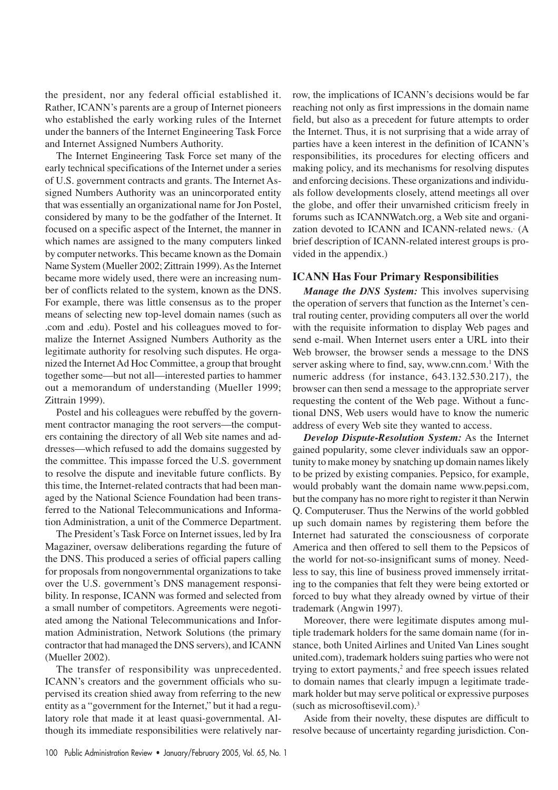the president, nor any federal official established it. Rather, ICANN's parents are a group of Internet pioneers who established the early working rules of the Internet under the banners of the Internet Engineering Task Force and Internet Assigned Numbers Authority.

The Internet Engineering Task Force set many of the early technical specifications of the Internet under a series of U.S. government contracts and grants. The Internet Assigned Numbers Authority was an unincorporated entity that was essentially an organizational name for Jon Postel, considered by many to be the godfather of the Internet. It focused on a specific aspect of the Internet, the manner in which names are assigned to the many computers linked by computer networks. This became known as the Domain Name System (Mueller 2002; Zittrain 1999). As the Internet became more widely used, there were an increasing number of conflicts related to the system, known as the DNS. For example, there was little consensus as to the proper means of selecting new top-level domain names (such as .com and .edu). Postel and his colleagues moved to formalize the Internet Assigned Numbers Authority as the legitimate authority for resolving such disputes. He organized the Internet Ad Hoc Committee, a group that brought together some—but not all—interested parties to hammer out a memorandum of understanding (Mueller 1999; Zittrain 1999).

Postel and his colleagues were rebuffed by the government contractor managing the root servers—the computers containing the directory of all Web site names and addresses—which refused to add the domains suggested by the committee. This impasse forced the U.S. government to resolve the dispute and inevitable future conflicts. By this time, the Internet-related contracts that had been managed by the National Science Foundation had been transferred to the National Telecommunications and Information Administration, a unit of the Commerce Department.

The President's Task Force on Internet issues, led by Ira Magaziner, oversaw deliberations regarding the future of the DNS. This produced a series of official papers calling for proposals from nongovernmental organizations to take over the U.S. government's DNS management responsibility. In response, ICANN was formed and selected from a small number of competitors. Agreements were negotiated among the National Telecommunications and Information Administration, Network Solutions (the primary contractor that had managed the DNS servers), and ICANN (Mueller 2002).

The transfer of responsibility was unprecedented. ICANN's creators and the government officials who supervised its creation shied away from referring to the new entity as a "government for the Internet," but it had a regulatory role that made it at least quasi-governmental. Although its immediate responsibilities were relatively narrow, the implications of ICANN's decisions would be far reaching not only as first impressions in the domain name field, but also as a precedent for future attempts to order the Internet. Thus, it is not surprising that a wide array of parties have a keen interest in the definition of ICANN's responsibilities, its procedures for electing officers and making policy, and its mechanisms for resolving disputes and enforcing decisions. These organizations and individuals follow developments closely, attend meetings all over the globe, and offer their unvarnished criticism freely in forums such as ICANNWatch.org, a Web site and organization devoted to ICANN and ICANN-related news. (A brief description of ICANN-related interest groups is provided in the appendix.)

#### **ICANN Has Four Primary Responsibilities**

*Manage the DNS System:* This involves supervising the operation of servers that function as the Internet's central routing center, providing computers all over the world with the requisite information to display Web pages and send e-mail. When Internet users enter a URL into their Web browser, the browser sends a message to the DNS server asking where to find, say, www.cnn.com.<sup>1</sup> With the numeric address (for instance, 643.132.530.217), the browser can then send a message to the appropriate server requesting the content of the Web page. Without a functional DNS, Web users would have to know the numeric address of every Web site they wanted to access.

*Develop Dispute-Resolution System:* As the Internet gained popularity, some clever individuals saw an opportunity to make money by snatching up domain names likely to be prized by existing companies. Pepsico, for example, would probably want the domain name www.pepsi.com, but the company has no more right to register it than Nerwin Q. Computeruser. Thus the Nerwins of the world gobbled up such domain names by registering them before the Internet had saturated the consciousness of corporate America and then offered to sell them to the Pepsicos of the world for not-so-insignificant sums of money. Needless to say, this line of business proved immensely irritating to the companies that felt they were being extorted or forced to buy what they already owned by virtue of their trademark (Angwin 1997).

Moreover, there were legitimate disputes among multiple trademark holders for the same domain name (for instance, both United Airlines and United Van Lines sought united.com), trademark holders suing parties who were not trying to extort payments,<sup>2</sup> and free speech issues related to domain names that clearly impugn a legitimate trademark holder but may serve political or expressive purposes (such as microsoftisevil.com).3

Aside from their novelty, these disputes are difficult to resolve because of uncertainty regarding jurisdiction. Con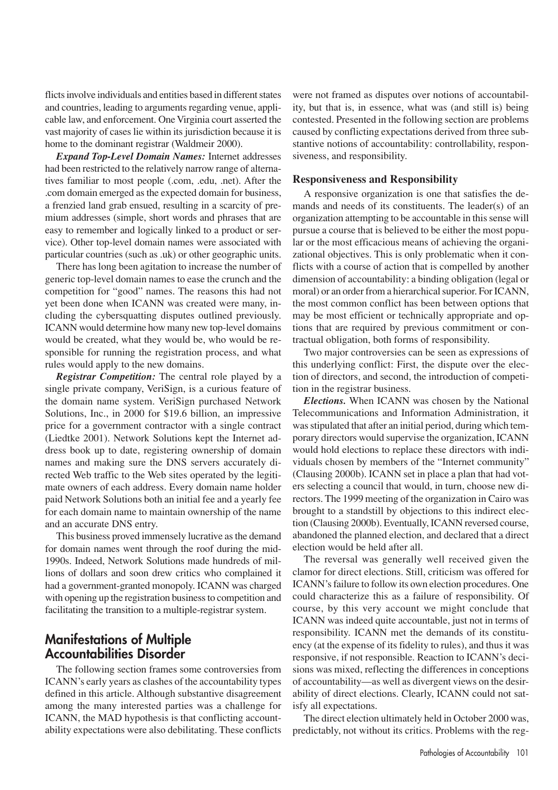flicts involve individuals and entities based in different states and countries, leading to arguments regarding venue, applicable law, and enforcement. One Virginia court asserted the vast majority of cases lie within its jurisdiction because it is home to the dominant registrar (Waldmeir 2000).

*Expand Top-Level Domain Names:* Internet addresses had been restricted to the relatively narrow range of alternatives familiar to most people (.com, .edu, .net). After the .com domain emerged as the expected domain for business, a frenzied land grab ensued, resulting in a scarcity of premium addresses (simple, short words and phrases that are easy to remember and logically linked to a product or service). Other top-level domain names were associated with particular countries (such as .uk) or other geographic units.

There has long been agitation to increase the number of generic top-level domain names to ease the crunch and the competition for "good" names. The reasons this had not yet been done when ICANN was created were many, including the cybersquatting disputes outlined previously. ICANN would determine how many new top-level domains would be created, what they would be, who would be responsible for running the registration process, and what rules would apply to the new domains.

*Registrar Competition:* The central role played by a single private company, VeriSign, is a curious feature of the domain name system. VeriSign purchased Network Solutions, Inc., in 2000 for \$19.6 billion, an impressive price for a government contractor with a single contract (Liedtke 2001). Network Solutions kept the Internet address book up to date, registering ownership of domain names and making sure the DNS servers accurately directed Web traffic to the Web sites operated by the legitimate owners of each address. Every domain name holder paid Network Solutions both an initial fee and a yearly fee for each domain name to maintain ownership of the name and an accurate DNS entry.

This business proved immensely lucrative as the demand for domain names went through the roof during the mid-1990s. Indeed, Network Solutions made hundreds of millions of dollars and soon drew critics who complained it had a government-granted monopoly. ICANN was charged with opening up the registration business to competition and facilitating the transition to a multiple-registrar system.

# **Manifestations of Multiple Accountabilities Disorder**

The following section frames some controversies from ICANN's early years as clashes of the accountability types defined in this article. Although substantive disagreement among the many interested parties was a challenge for ICANN, the MAD hypothesis is that conflicting accountability expectations were also debilitating. These conflicts

were not framed as disputes over notions of accountability, but that is, in essence, what was (and still is) being contested. Presented in the following section are problems caused by conflicting expectations derived from three substantive notions of accountability: controllability, responsiveness, and responsibility.

#### **Responsiveness and Responsibility**

A responsive organization is one that satisfies the demands and needs of its constituents. The leader(s) of an organization attempting to be accountable in this sense will pursue a course that is believed to be either the most popular or the most efficacious means of achieving the organizational objectives. This is only problematic when it conflicts with a course of action that is compelled by another dimension of accountability: a binding obligation (legal or moral) or an order from a hierarchical superior. For ICANN, the most common conflict has been between options that may be most efficient or technically appropriate and options that are required by previous commitment or contractual obligation, both forms of responsibility.

Two major controversies can be seen as expressions of this underlying conflict: First, the dispute over the election of directors, and second, the introduction of competition in the registrar business.

*Elections.* When ICANN was chosen by the National Telecommunications and Information Administration, it was stipulated that after an initial period, during which temporary directors would supervise the organization, ICANN would hold elections to replace these directors with individuals chosen by members of the "Internet community" (Clausing 2000b). ICANN set in place a plan that had voters selecting a council that would, in turn, choose new directors. The 1999 meeting of the organization in Cairo was brought to a standstill by objections to this indirect election (Clausing 2000b). Eventually, ICANN reversed course, abandoned the planned election, and declared that a direct election would be held after all.

The reversal was generally well received given the clamor for direct elections. Still, criticism was offered for ICANN's failure to follow its own election procedures. One could characterize this as a failure of responsibility. Of course, by this very account we might conclude that ICANN was indeed quite accountable, just not in terms of responsibility. ICANN met the demands of its constituency (at the expense of its fidelity to rules), and thus it was responsive, if not responsible. Reaction to ICANN's decisions was mixed, reflecting the differences in conceptions of accountability—as well as divergent views on the desirability of direct elections. Clearly, ICANN could not satisfy all expectations.

The direct election ultimately held in October 2000 was, predictably, not without its critics. Problems with the reg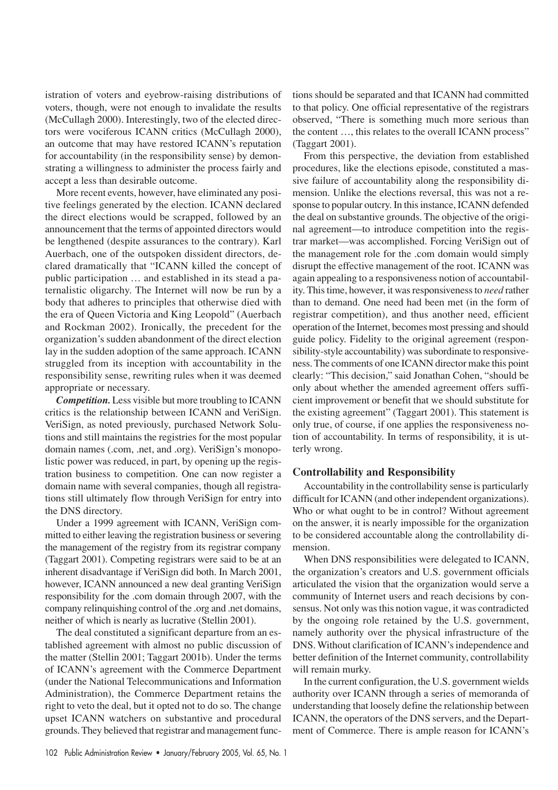istration of voters and eyebrow-raising distributions of voters, though, were not enough to invalidate the results (McCullagh 2000). Interestingly, two of the elected directors were vociferous ICANN critics (McCullagh 2000), an outcome that may have restored ICANN's reputation for accountability (in the responsibility sense) by demonstrating a willingness to administer the process fairly and accept a less than desirable outcome.

More recent events, however, have eliminated any positive feelings generated by the election. ICANN declared the direct elections would be scrapped, followed by an announcement that the terms of appointed directors would be lengthened (despite assurances to the contrary). Karl Auerbach, one of the outspoken dissident directors, declared dramatically that "ICANN killed the concept of public participation … and established in its stead a paternalistic oligarchy. The Internet will now be run by a body that adheres to principles that otherwise died with the era of Queen Victoria and King Leopold" (Auerbach and Rockman 2002). Ironically, the precedent for the organization's sudden abandonment of the direct election lay in the sudden adoption of the same approach. ICANN struggled from its inception with accountability in the responsibility sense, rewriting rules when it was deemed appropriate or necessary.

*Competition.* Less visible but more troubling to ICANN critics is the relationship between ICANN and VeriSign. VeriSign, as noted previously, purchased Network Solutions and still maintains the registries for the most popular domain names (.com, .net, and .org). VeriSign's monopolistic power was reduced, in part, by opening up the registration business to competition. One can now register a domain name with several companies, though all registrations still ultimately flow through VeriSign for entry into the DNS directory.

Under a 1999 agreement with ICANN, VeriSign committed to either leaving the registration business or severing the management of the registry from its registrar company (Taggart 2001). Competing registrars were said to be at an inherent disadvantage if VeriSign did both. In March 2001, however, ICANN announced a new deal granting VeriSign responsibility for the .com domain through 2007, with the company relinquishing control of the .org and .net domains, neither of which is nearly as lucrative (Stellin 2001).

The deal constituted a significant departure from an established agreement with almost no public discussion of the matter (Stellin 2001; Taggart 2001b). Under the terms of ICANN's agreement with the Commerce Department (under the National Telecommunications and Information Administration), the Commerce Department retains the right to veto the deal, but it opted not to do so. The change upset ICANN watchers on substantive and procedural grounds. They believed that registrar and management functions should be separated and that ICANN had committed to that policy. One official representative of the registrars observed, "There is something much more serious than the content …, this relates to the overall ICANN process" (Taggart 2001).

From this perspective, the deviation from established procedures, like the elections episode, constituted a massive failure of accountability along the responsibility dimension. Unlike the elections reversal, this was not a response to popular outcry. In this instance, ICANN defended the deal on substantive grounds. The objective of the original agreement—to introduce competition into the registrar market—was accomplished. Forcing VeriSign out of the management role for the .com domain would simply disrupt the effective management of the root. ICANN was again appealing to a responsiveness notion of accountability. This time, however, it was responsiveness to *need* rather than to demand. One need had been met (in the form of registrar competition), and thus another need, efficient operation of the Internet, becomes most pressing and should guide policy. Fidelity to the original agreement (responsibility-style accountability) was subordinate to responsiveness. The comments of one ICANN director make this point clearly: "This decision," said Jonathan Cohen, "should be only about whether the amended agreement offers sufficient improvement or benefit that we should substitute for the existing agreement" (Taggart 2001). This statement is only true, of course, if one applies the responsiveness notion of accountability. In terms of responsibility, it is utterly wrong.

#### **Controllability and Responsibility**

Accountability in the controllability sense is particularly difficult for ICANN (and other independent organizations). Who or what ought to be in control? Without agreement on the answer, it is nearly impossible for the organization to be considered accountable along the controllability dimension.

When DNS responsibilities were delegated to ICANN, the organization's creators and U.S. government officials articulated the vision that the organization would serve a community of Internet users and reach decisions by consensus. Not only was this notion vague, it was contradicted by the ongoing role retained by the U.S. government, namely authority over the physical infrastructure of the DNS. Without clarification of ICANN's independence and better definition of the Internet community, controllability will remain murky.

In the current configuration, the U.S. government wields authority over ICANN through a series of memoranda of understanding that loosely define the relationship between ICANN, the operators of the DNS servers, and the Department of Commerce. There is ample reason for ICANN's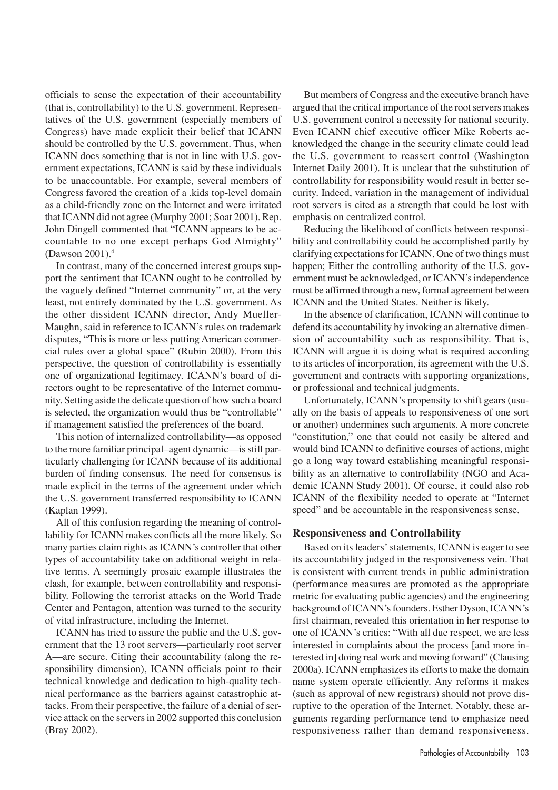officials to sense the expectation of their accountability (that is, controllability) to the U.S. government. Representatives of the U.S. government (especially members of Congress) have made explicit their belief that ICANN should be controlled by the U.S. government. Thus, when ICANN does something that is not in line with U.S. government expectations, ICANN is said by these individuals to be unaccountable. For example, several members of Congress favored the creation of a .kids top-level domain as a child-friendly zone on the Internet and were irritated that ICANN did not agree (Murphy 2001; Soat 2001). Rep. John Dingell commented that "ICANN appears to be accountable to no one except perhaps God Almighty" (Dawson 2001).4

In contrast, many of the concerned interest groups support the sentiment that ICANN ought to be controlled by the vaguely defined "Internet community" or, at the very least, not entirely dominated by the U.S. government. As the other dissident ICANN director, Andy Mueller-Maughn, said in reference to ICANN's rules on trademark disputes, "This is more or less putting American commercial rules over a global space" (Rubin 2000). From this perspective, the question of controllability is essentially one of organizational legitimacy. ICANN's board of directors ought to be representative of the Internet community. Setting aside the delicate question of how such a board is selected, the organization would thus be "controllable" if management satisfied the preferences of the board.

This notion of internalized controllability—as opposed to the more familiar principal–agent dynamic—is still particularly challenging for ICANN because of its additional burden of finding consensus. The need for consensus is made explicit in the terms of the agreement under which the U.S. government transferred responsibility to ICANN (Kaplan 1999).

All of this confusion regarding the meaning of controllability for ICANN makes conflicts all the more likely. So many parties claim rights as ICANN's controller that other types of accountability take on additional weight in relative terms. A seemingly prosaic example illustrates the clash, for example, between controllability and responsibility. Following the terrorist attacks on the World Trade Center and Pentagon, attention was turned to the security of vital infrastructure, including the Internet.

ICANN has tried to assure the public and the U.S. government that the 13 root servers—particularly root server A—are secure. Citing their accountability (along the responsibility dimension), ICANN officials point to their technical knowledge and dedication to high-quality technical performance as the barriers against catastrophic attacks. From their perspective, the failure of a denial of service attack on the servers in 2002 supported this conclusion (Bray 2002).

But members of Congress and the executive branch have argued that the critical importance of the root servers makes U.S. government control a necessity for national security. Even ICANN chief executive officer Mike Roberts acknowledged the change in the security climate could lead the U.S. government to reassert control (Washington Internet Daily 2001). It is unclear that the substitution of controllability for responsibility would result in better security. Indeed, variation in the management of individual root servers is cited as a strength that could be lost with emphasis on centralized control.

Reducing the likelihood of conflicts between responsibility and controllability could be accomplished partly by clarifying expectations for ICANN. One of two things must happen; Either the controlling authority of the U.S. government must be acknowledged, or ICANN's independence must be affirmed through a new, formal agreement between ICANN and the United States. Neither is likely.

In the absence of clarification, ICANN will continue to defend its accountability by invoking an alternative dimension of accountability such as responsibility. That is, ICANN will argue it is doing what is required according to its articles of incorporation, its agreement with the U.S. government and contracts with supporting organizations, or professional and technical judgments.

Unfortunately, ICANN's propensity to shift gears (usually on the basis of appeals to responsiveness of one sort or another) undermines such arguments. A more concrete "constitution," one that could not easily be altered and would bind ICANN to definitive courses of actions, might go a long way toward establishing meaningful responsibility as an alternative to controllability (NGO and Academic ICANN Study 2001). Of course, it could also rob ICANN of the flexibility needed to operate at "Internet speed" and be accountable in the responsiveness sense.

#### **Responsiveness and Controllability**

Based on its leaders' statements, ICANN is eager to see its accountability judged in the responsiveness vein. That is consistent with current trends in public administration (performance measures are promoted as the appropriate metric for evaluating public agencies) and the engineering background of ICANN's founders. Esther Dyson, ICANN's first chairman, revealed this orientation in her response to one of ICANN's critics: "With all due respect, we are less interested in complaints about the process [and more interested in] doing real work and moving forward" (Clausing 2000a). ICANN emphasizes its efforts to make the domain name system operate efficiently. Any reforms it makes (such as approval of new registrars) should not prove disruptive to the operation of the Internet. Notably, these arguments regarding performance tend to emphasize need responsiveness rather than demand responsiveness.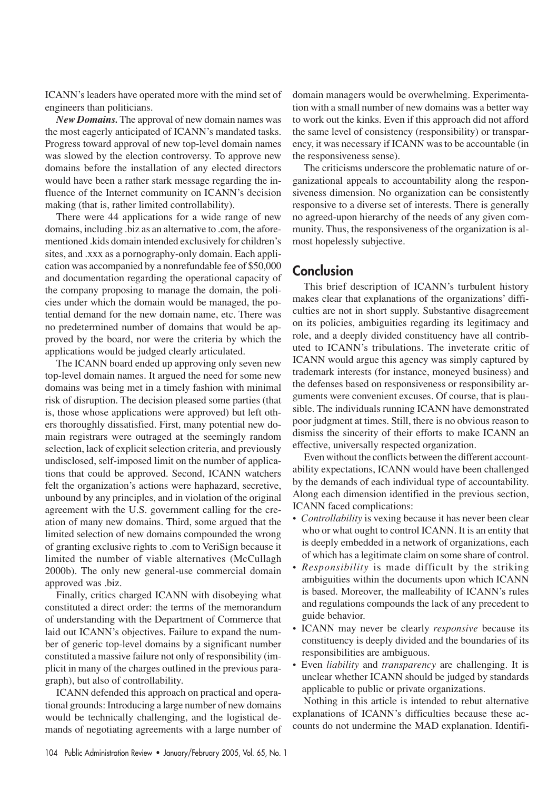ICANN's leaders have operated more with the mind set of engineers than politicians.

*New Domains.* The approval of new domain names was the most eagerly anticipated of ICANN's mandated tasks. Progress toward approval of new top-level domain names was slowed by the election controversy. To approve new domains before the installation of any elected directors would have been a rather stark message regarding the influence of the Internet community on ICANN's decision making (that is, rather limited controllability).

There were 44 applications for a wide range of new domains, including .biz as an alternative to .com, the aforementioned .kids domain intended exclusively for children's sites, and .xxx as a pornography-only domain. Each application was accompanied by a nonrefundable fee of \$50,000 and documentation regarding the operational capacity of the company proposing to manage the domain, the policies under which the domain would be managed, the potential demand for the new domain name, etc. There was no predetermined number of domains that would be approved by the board, nor were the criteria by which the applications would be judged clearly articulated.

The ICANN board ended up approving only seven new top-level domain names. It argued the need for some new domains was being met in a timely fashion with minimal risk of disruption. The decision pleased some parties (that is, those whose applications were approved) but left others thoroughly dissatisfied. First, many potential new domain registrars were outraged at the seemingly random selection, lack of explicit selection criteria, and previously undisclosed, self-imposed limit on the number of applications that could be approved. Second, ICANN watchers felt the organization's actions were haphazard, secretive, unbound by any principles, and in violation of the original agreement with the U.S. government calling for the creation of many new domains. Third, some argued that the limited selection of new domains compounded the wrong of granting exclusive rights to .com to VeriSign because it limited the number of viable alternatives (McCullagh 2000b). The only new general-use commercial domain approved was .biz.

Finally, critics charged ICANN with disobeying what constituted a direct order: the terms of the memorandum of understanding with the Department of Commerce that laid out ICANN's objectives. Failure to expand the number of generic top-level domains by a significant number constituted a massive failure not only of responsibility (implicit in many of the charges outlined in the previous paragraph), but also of controllability.

ICANN defended this approach on practical and operational grounds: Introducing a large number of new domains would be technically challenging, and the logistical demands of negotiating agreements with a large number of domain managers would be overwhelming. Experimentation with a small number of new domains was a better way to work out the kinks. Even if this approach did not afford the same level of consistency (responsibility) or transparency, it was necessary if ICANN was to be accountable (in the responsiveness sense).

The criticisms underscore the problematic nature of organizational appeals to accountability along the responsiveness dimension. No organization can be consistently responsive to a diverse set of interests. There is generally no agreed-upon hierarchy of the needs of any given community. Thus, the responsiveness of the organization is almost hopelessly subjective.

# **Conclusion**

This brief description of ICANN's turbulent history makes clear that explanations of the organizations' difficulties are not in short supply. Substantive disagreement on its policies, ambiguities regarding its legitimacy and role, and a deeply divided constituency have all contributed to ICANN's tribulations. The inveterate critic of ICANN would argue this agency was simply captured by trademark interests (for instance, moneyed business) and the defenses based on responsiveness or responsibility arguments were convenient excuses. Of course, that is plausible. The individuals running ICANN have demonstrated poor judgment at times. Still, there is no obvious reason to dismiss the sincerity of their efforts to make ICANN an effective, universally respected organization.

Even without the conflicts between the different accountability expectations, ICANN would have been challenged by the demands of each individual type of accountability. Along each dimension identified in the previous section, ICANN faced complications:

- *Controllability* is vexing because it has never been clear who or what ought to control ICANN. It is an entity that is deeply embedded in a network of organizations, each of which has a legitimate claim on some share of control.
- *Responsibility* is made difficult by the striking ambiguities within the documents upon which ICANN is based. Moreover, the malleability of ICANN's rules and regulations compounds the lack of any precedent to guide behavior.
- ICANN may never be clearly *responsive* because its constituency is deeply divided and the boundaries of its responsibilities are ambiguous.
- Even *liability* and *transparency* are challenging. It is unclear whether ICANN should be judged by standards applicable to public or private organizations.

Nothing in this article is intended to rebut alternative explanations of ICANN's difficulties because these accounts do not undermine the MAD explanation. Identifi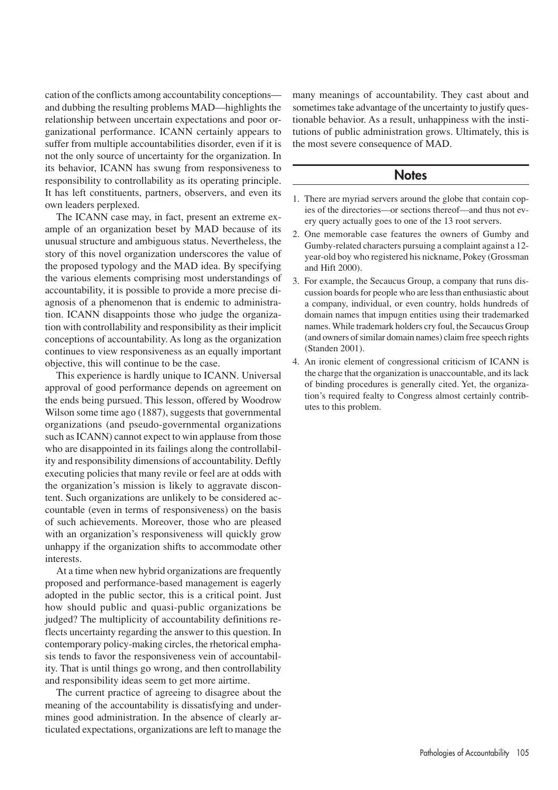cation of the conflicts among accountability conceptions and dubbing the resulting problems MAD—highlights the relationship between uncertain expectations and poor organizational performance. ICANN certainly appears to suffer from multiple accountabilities disorder, even if it is not the only source of uncertainty for the organization. In its behavior, ICANN has swung from responsiveness to responsibility to controllability as its operating principle. It has left constituents, partners, observers, and even its own leaders perplexed.

The ICANN case may, in fact, present an extreme example of an organization beset by MAD because of its unusual structure and ambiguous status. Nevertheless, the story of this novel organization underscores the value of the proposed typology and the MAD idea. By specifying the various elements comprising most understandings of accountability, it is possible to provide a more precise diagnosis of a phenomenon that is endemic to administration. ICANN disappoints those who judge the organization with controllability and responsibility as their implicit conceptions of accountability. As long as the organization continues to view responsiveness as an equally important objective, this will continue to be the case.

This experience is hardly unique to ICANN. Universal approval of good performance depends on agreement on the ends being pursued. This lesson, offered by Woodrow Wilson some time ago (1887), suggests that governmental organizations (and pseudo-governmental organizations such as ICANN) cannot expect to win applause from those who are disappointed in its failings along the controllability and responsibility dimensions of accountability. Deftly executing policies that many revile or feel are at odds with the organization's mission is likely to aggravate discontent. Such organizations are unlikely to be considered accountable (even in terms of responsiveness) on the basis of such achievements. Moreover, those who are pleased with an organization's responsiveness will quickly grow unhappy if the organization shifts to accommodate other interests.

At a time when new hybrid organizations are frequently proposed and performance-based management is eagerly adopted in the public sector, this is a critical point. Just how should public and quasi-public organizations be judged? The multiplicity of accountability definitions reflects uncertainty regarding the answer to this question. In contemporary policy-making circles, the rhetorical emphasis tends to favor the responsiveness vein of accountability. That is until things go wrong, and then controllability and responsibility ideas seem to get more airtime.

The current practice of agreeing to disagree about the meaning of the accountability is dissatisfying and undermines good administration. In the absence of clearly articulated expectations, organizations are left to manage the many meanings of accountability. They cast about and sometimes take advantage of the uncertainty to justify questionable behavior. As a result, unhappiness with the institutions of public administration grows. Ultimately, this is the most severe consequence of MAD.

### **Notes**

- 1. There are myriad servers around the globe that contain copies of the directories—or sections thereof—and thus not every query actually goes to one of the 13 root servers.
- 2. One memorable case features the owners of Gumby and Gumby-related characters pursuing a complaint against a 12 year-old boy who registered his nickname, Pokey (Grossman and Hift 2000).
- 3. For example, the Secaucus Group, a company that runs discussion boards for people who are less than enthusiastic about a company, individual, or even country, holds hundreds of domain names that impugn entities using their trademarked names. While trademark holders cry foul, the Secaucus Group (and owners of similar domain names) claim free speech rights (Standen 2001).
- 4. An ironic element of congressional criticism of ICANN is the charge that the organization is unaccountable, and its lack of binding procedures is generally cited. Yet, the organization's required fealty to Congress almost certainly contributes to this problem.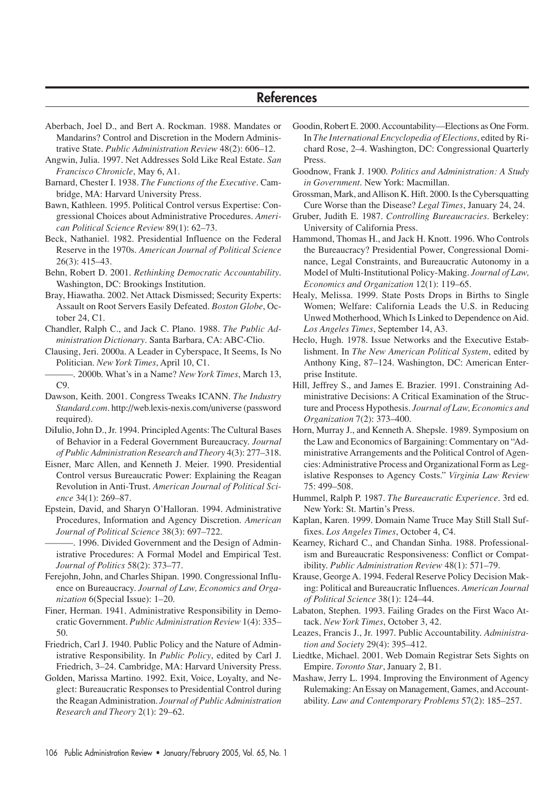## **References**

- Aberbach, Joel D., and Bert A. Rockman. 1988. Mandates or Mandarins? Control and Discretion in the Modern Administrative State. *Public Administration Review* 48(2): 606–12.
- Angwin, Julia. 1997. Net Addresses Sold Like Real Estate. *San Francisco Chronicle*, May 6, A1.
- Barnard, Chester I. 1938. *The Functions of the Executive*. Cambridge, MA: Harvard University Press.
- Bawn, Kathleen. 1995. Political Control versus Expertise: Congressional Choices about Administrative Procedures. *American Political Science Review* 89(1): 62–73.
- Beck, Nathaniel. 1982. Presidential Influence on the Federal Reserve in the 1970s. *American Journal of Political Science* 26(3): 415–43.
- Behn, Robert D. 2001. *Rethinking Democratic Accountability*. Washington, DC: Brookings Institution.
- Bray, Hiawatha. 2002. Net Attack Dismissed; Security Experts: Assault on Root Servers Easily Defeated. *Boston Globe*, October 24, C1.
- Chandler, Ralph C., and Jack C. Plano. 1988. *The Public Administration Dictionary*. Santa Barbara, CA: ABC-Clio.
- Clausing, Jeri. 2000a. A Leader in Cyberspace, It Seems, Is No Politician. *New York Times*, April 10, C1.
- ———. 2000b. What's in a Name? *New York Times*, March 13, C9.
- Dawson, Keith. 2001. Congress Tweaks ICANN. *The Industry Standard.com*. http://web.lexis-nexis.com/universe (password required).
- DiIulio, John D., Jr. 1994. Principled Agents: The Cultural Bases of Behavior in a Federal Government Bureaucracy. *Journal of Public Administration Research and Theory* 4(3): 277–318.
- Eisner, Marc Allen, and Kenneth J. Meier. 1990. Presidential Control versus Bureaucratic Power: Explaining the Reagan Revolution in Anti-Trust. *American Journal of Political Science* 34(1): 269–87.
- Epstein, David, and Sharyn O'Halloran. 1994. Administrative Procedures, Information and Agency Discretion. *American Journal of Political Science* 38(3): 697–722.
- -. 1996. Divided Government and the Design of Administrative Procedures: A Formal Model and Empirical Test. *Journal of Politics* 58(2): 373–77.
- Ferejohn, John, and Charles Shipan. 1990. Congressional Influence on Bureaucracy. *Journal of Law, Economics and Organization* 6(Special Issue): 1–20.
- Finer, Herman. 1941. Administrative Responsibility in Democratic Government. *Public Administration Review* 1(4): 335– 50.
- Friedrich, Carl J. 1940. Public Policy and the Nature of Administrative Responsibility. In *Public Policy*, edited by Carl J. Friedrich, 3–24. Cambridge, MA: Harvard University Press.
- Golden, Marissa Martino. 1992. Exit, Voice, Loyalty, and Neglect: Bureaucratic Responses to Presidential Control during the Reagan Administration. *Journal of Public Administration Research and Theory* 2(1): 29–62.
- Goodin, Robert E. 2000. Accountability—Elections as One Form. In *The International Encyclopedia of Elections*, edited by Richard Rose, 2–4. Washington, DC: Congressional Quarterly Press.
- Goodnow, Frank J. 1900. *Politics and Administration: A Study in Government*. New York: Macmillan.
- Grossman, Mark, and Allison K. Hift. 2000. Is the Cybersquatting Cure Worse than the Disease? *Legal Times*, January 24, 24.
- Gruber, Judith E. 1987. *Controlling Bureaucracies*. Berkeley: University of California Press.
- Hammond, Thomas H., and Jack H. Knott. 1996. Who Controls the Bureaucracy? Presidential Power, Congressional Dominance, Legal Constraints, and Bureaucratic Autonomy in a Model of Multi-Institutional Policy-Making. *Journal of Law, Economics and Organization* 12(1): 119–65.
- Healy, Melissa. 1999. State Posts Drops in Births to Single Women; Welfare: California Leads the U.S. in Reducing Unwed Motherhood, Which Is Linked to Dependence on Aid. *Los Angeles Times*, September 14, A3.
- Heclo, Hugh. 1978. Issue Networks and the Executive Establishment. In *The New American Political System*, edited by Anthony King, 87–124. Washington, DC: American Enterprise Institute.
- Hill, Jeffrey S., and James E. Brazier. 1991. Constraining Administrative Decisions: A Critical Examination of the Structure and Process Hypothesis. *Journal of Law, Economics and Organization* 7(2): 373–400.
- Horn, Murray J., and Kenneth A. Shepsle. 1989. Symposium on the Law and Economics of Bargaining: Commentary on "Administrative Arrangements and the Political Control of Agencies: Administrative Process and Organizational Form as Legislative Responses to Agency Costs." *Virginia Law Review* 75: 499–508.
- Hummel, Ralph P. 1987. *The Bureaucratic Experience*. 3rd ed. New York: St. Martin's Press.
- Kaplan, Karen. 1999. Domain Name Truce May Still Stall Suffixes. *Los Angeles Times*, October 4, C4.
- Kearney, Richard C., and Chandan Sinha. 1988. Professionalism and Bureaucratic Responsiveness: Conflict or Compatibility. *Public Administration Review* 48(1): 571–79.
- Krause, George A. 1994. Federal Reserve Policy Decision Making: Political and Bureaucratic Influences. *American Journal of Political Science* 38(1): 124–44.
- Labaton, Stephen. 1993. Failing Grades on the First Waco Attack. *New York Times*, October 3, 42.
- Leazes, Francis J., Jr. 1997. Public Accountability. *Administration and Society* 29(4): 395–412.
- Liedtke, Michael. 2001. Web Domain Registrar Sets Sights on Empire. *Toronto Star*, January 2, B1.
- Mashaw, Jerry L. 1994. Improving the Environment of Agency Rulemaking: An Essay on Management, Games, and Accountability. *Law and Contemporary Problems* 57(2): 185–257.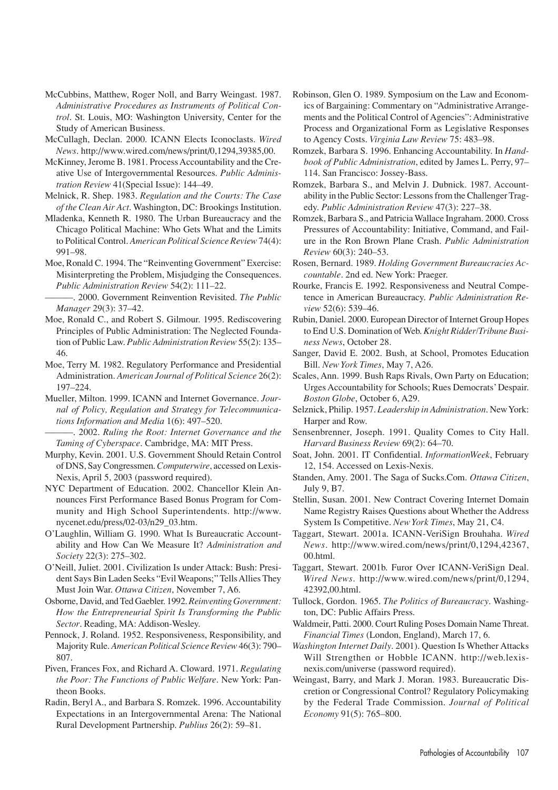- McCubbins, Matthew, Roger Noll, and Barry Weingast. 1987. *Administrative Procedures as Instruments of Political Control*. St. Louis, MO: Washington University, Center for the Study of American Business.
- McCullagh, Declan. 2000. ICANN Elects Iconoclasts. *Wired News*. http://www.wired.com/news/print/0,1294,39385,00.
- McKinney, Jerome B. 1981. Process Accountability and the Creative Use of Intergovernmental Resources. *Public Administration Review* 41(Special Issue): 144–49.
- Melnick, R. Shep. 1983. *Regulation and the Courts: The Case of the Clean Air Act*. Washington, DC: Brookings Institution.
- Mladenka, Kenneth R. 1980. The Urban Bureaucracy and the Chicago Political Machine: Who Gets What and the Limits to Political Control. *American Political Science Review* 74(4): 991–98.
- Moe, Ronald C. 1994. The "Reinventing Government" Exercise: Misinterpreting the Problem, Misjudging the Consequences. *Public Administration Review* 54(2): 111–22.
- ———. 2000. Government Reinvention Revisited. *The Public Manager* 29(3): 37–42.
- Moe, Ronald C., and Robert S. Gilmour. 1995. Rediscovering Principles of Public Administration: The Neglected Foundation of Public Law. *Public Administration Review* 55(2): 135– 46.
- Moe, Terry M. 1982. Regulatory Performance and Presidential Administration. *American Journal of Political Science* 26(2): 197–224.
- Mueller, Milton. 1999. ICANN and Internet Governance. *Journal of Policy, Regulation and Strategy for Telecommunications Information and Media* 1(6): 497–520.
- ———. 2002. *Ruling the Root: Internet Governance and the Taming of Cyberspace*. Cambridge, MA: MIT Press.
- Murphy, Kevin. 2001. U.S. Government Should Retain Control of DNS, Say Congressmen. *Computerwire*, accessed on Lexis-Nexis, April 5, 2003 (password required).
- NYC Department of Education. 2002. Chancellor Klein Announces First Performance Based Bonus Program for Community and High School Superintendents. http://www. nycenet.edu/press/02-03/n29\_03.htm.
- O'Laughlin, William G. 1990. What Is Bureaucratic Accountability and How Can We Measure It? *Administration and Society* 22(3): 275–302.
- O'Neill, Juliet. 2001. Civilization Is under Attack: Bush: President Says Bin Laden Seeks "Evil Weapons;" Tells Allies They Must Join War. *Ottawa Citizen*, November 7, A6.
- Osborne, David, and Ted Gaebler. 1992. *Reinventing Government: How the Entrepreneurial Spirit Is Transforming the Public Sector*. Reading, MA: Addison-Wesley.
- Pennock, J. Roland. 1952. Responsiveness, Responsibility, and Majority Rule. *American Political Science Review* 46(3): 790– 807.
- Piven, Frances Fox, and Richard A. Cloward. 1971. *Regulating the Poor: The Functions of Public Welfare*. New York: Pantheon Books.
- Radin, Beryl A., and Barbara S. Romzek. 1996. Accountability Expectations in an Intergovernmental Arena: The National Rural Development Partnership. *Publius* 26(2): 59–81.
- Robinson, Glen O. 1989. Symposium on the Law and Economics of Bargaining: Commentary on "Administrative Arrangements and the Political Control of Agencies": Administrative Process and Organizational Form as Legislative Responses to Agency Costs. *Virginia Law Review* 75: 483–98.
- Romzek, Barbara S. 1996. Enhancing Accountability. In *Handbook of Public Administration*, edited by James L. Perry, 97– 114. San Francisco: Jossey-Bass.
- Romzek, Barbara S., and Melvin J. Dubnick. 1987. Accountability in the Public Sector: Lessons from the Challenger Tragedy. *Public Administration Review* 47(3): 227–38.
- Romzek, Barbara S., and Patricia Wallace Ingraham. 2000. Cross Pressures of Accountability: Initiative, Command, and Failure in the Ron Brown Plane Crash. *Public Administration Review* 60(3): 240–53.
- Rosen, Bernard. 1989. *Holding Government Bureaucracies Accountable*. 2nd ed. New York: Praeger.
- Rourke, Francis E. 1992. Responsiveness and Neutral Competence in American Bureaucracy. *Public Administration Review* 52(6): 539–46.
- Rubin, Daniel. 2000. European Director of Internet Group Hopes to End U.S. Domination of Web. *Knight Ridder/Tribune Business News*, October 28.
- Sanger, David E. 2002. Bush, at School, Promotes Education Bill. *New York Times*, May 7, A26.
- Scales, Ann. 1999. Bush Raps Rivals, Own Party on Education; Urges Accountability for Schools; Rues Democrats' Despair. *Boston Globe*, October 6, A29.
- Selznick, Philip. 1957. *Leadership in Administration*. New York: Harper and Row.
- Sensenbrenner, Joseph. 1991. Quality Comes to City Hall. *Harvard Business Review* 69(2): 64–70.
- Soat, John. 2001. IT Confidential. *InformationWeek*, February 12, 154. Accessed on Lexis-Nexis.
- Standen, Amy. 2001. The Saga of Sucks.Com. *Ottawa Citizen*, July 9, B7.
- Stellin, Susan. 2001. New Contract Covering Internet Domain Name Registry Raises Questions about Whether the Address System Is Competitive. *New York Times*, May 21, C4.
- Taggart, Stewart. 2001a. ICANN-VeriSign Brouhaha. *Wired News*. http://www.wired.com/news/print/0,1294,42367,  $00 \text{ h}$ tml
- Taggart, Stewart. 2001b. Furor Over ICANN-VeriSign Deal. *Wired News*. http://www.wired.com/news/print/0,1294, 42392,00.html.
- Tullock, Gordon. 1965. *The Politics of Bureaucracy*. Washington, DC: Public Affairs Press.
- Waldmeir, Patti. 2000. Court Ruling Poses Domain Name Threat. *Financial Times* (London, England), March 17, 6.
- *Washington Internet Daily*. 2001). Question Is Whether Attacks Will Strengthen or Hobble ICANN. http://web.lexisnexis.com/universe (password required).
- Weingast, Barry, and Mark J. Moran. 1983. Bureaucratic Discretion or Congressional Control? Regulatory Policymaking by the Federal Trade Commission. *Journal of Political Economy* 91(5): 765–800.